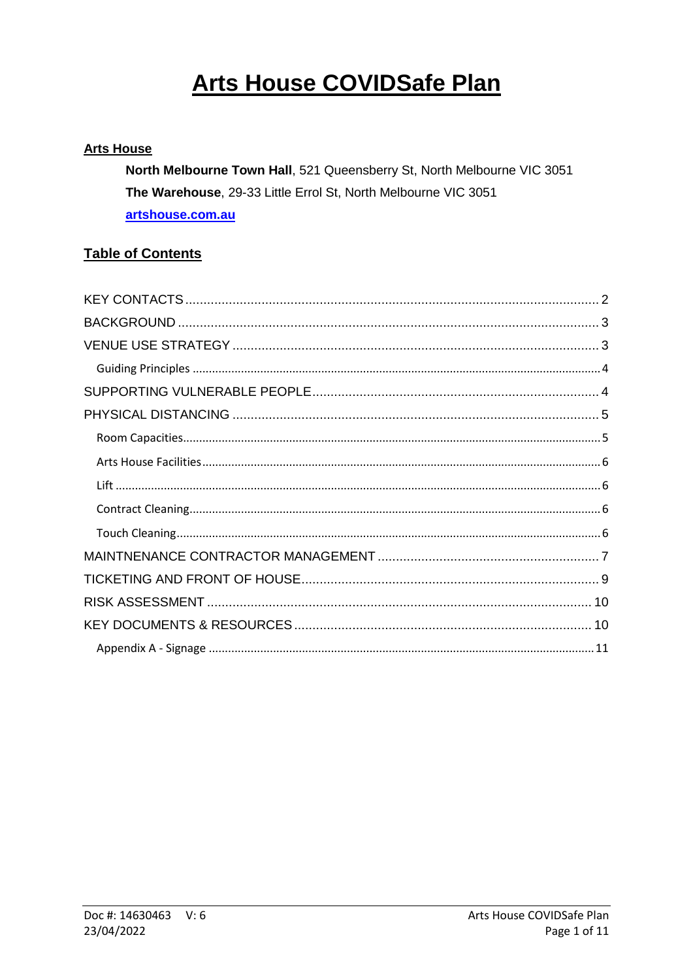# **Arts House COVIDSafe Plan**

### **Arts House**

North Melbourne Town Hall, 521 Queensberry St, North Melbourne VIC 3051 The Warehouse, 29-33 Little Errol St, North Melbourne VIC 3051 artshouse.com.au

### **Table of Contents**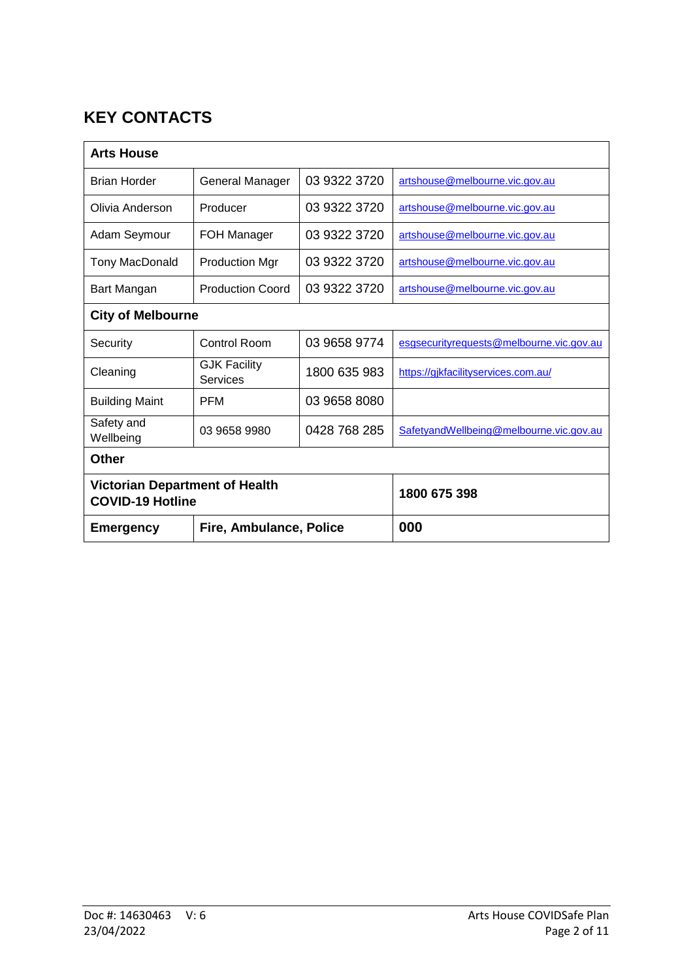# <span id="page-1-0"></span>**KEY CONTACTS**

| <b>Arts House</b>                                                |                                 |              |                                          |  |  |
|------------------------------------------------------------------|---------------------------------|--------------|------------------------------------------|--|--|
| <b>Brian Horder</b>                                              | General Manager                 | 03 9322 3720 | artshouse@melbourne.vic.gov.au           |  |  |
| Olivia Anderson                                                  | Producer                        | 03 9322 3720 | artshouse@melbourne.vic.gov.au           |  |  |
| Adam Seymour                                                     | FOH Manager                     | 03 9322 3720 | artshouse@melbourne.vic.gov.au           |  |  |
| <b>Tony MacDonald</b>                                            | <b>Production Mgr</b>           | 03 9322 3720 | artshouse@melbourne.vic.gov.au           |  |  |
| Bart Mangan                                                      | <b>Production Coord</b>         | 03 9322 3720 | artshouse@melbourne.vic.gov.au           |  |  |
| <b>City of Melbourne</b>                                         |                                 |              |                                          |  |  |
| Security                                                         | <b>Control Room</b>             | 03 9658 9774 | esgsecurityrequests@melbourne.vic.gov.au |  |  |
| Cleaning                                                         | <b>GJK Facility</b><br>Services | 1800 635 983 | https://gjkfacilityservices.com.au/      |  |  |
| <b>Building Maint</b>                                            | <b>PFM</b>                      | 03 9658 8080 |                                          |  |  |
| Safety and<br>Wellbeing                                          | 03 9658 9980                    | 0428 768 285 | SafetyandWellbeing@melbourne.vic.gov.au  |  |  |
| <b>Other</b>                                                     |                                 |              |                                          |  |  |
| <b>Victorian Department of Health</b><br><b>COVID-19 Hotline</b> |                                 |              | 1800 675 398                             |  |  |
| <b>Emergency</b>                                                 | Fire, Ambulance, Police         |              | 000                                      |  |  |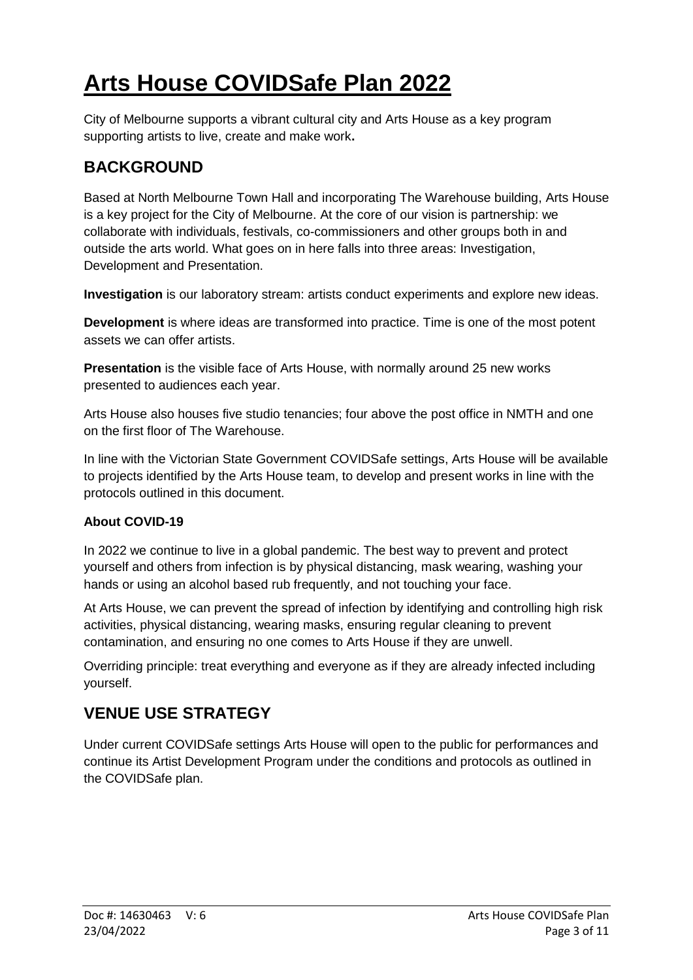# **Arts House COVIDSafe Plan 2022**

City of Melbourne supports a vibrant cultural city and Arts House as a key program supporting artists to live, create and make work**.**

# <span id="page-2-0"></span>**BACKGROUND**

Based at North Melbourne Town Hall and incorporating The Warehouse building, Arts House is a key project for the City of Melbourne. At the core of our vision is partnership: we collaborate with individuals, festivals, co-commissioners and other groups both in and outside the arts world. What goes on in here falls into three areas: Investigation, Development and Presentation.

**Investigation** is our laboratory stream: artists conduct experiments and explore new ideas.

**Development** is where ideas are transformed into practice. Time is one of the most potent assets we can offer artists.

**Presentation** is the visible face of Arts House, with normally around 25 new works presented to audiences each year.

Arts House also houses five studio tenancies; four above the post office in NMTH and one on the first floor of The Warehouse.

In line with the Victorian State Government COVIDSafe settings, Arts House will be available to projects identified by the Arts House team, to develop and present works in line with the protocols outlined in this document.

### **About COVID-19**

In 2022 we continue to live in a global pandemic. The best way to prevent and protect yourself and others from infection is by physical distancing, mask wearing, washing your hands or using an alcohol based rub frequently, and not touching your face.

At Arts House, we can prevent the spread of infection by identifying and controlling high risk activities, physical distancing, wearing masks, ensuring regular cleaning to prevent contamination, and ensuring no one comes to Arts House if they are unwell.

Overriding principle: treat everything and everyone as if they are already infected including yourself.

# <span id="page-2-1"></span>**VENUE USE STRATEGY**

Under current COVIDSafe settings Arts House will open to the public for performances and continue its Artist Development Program under the conditions and protocols as outlined in the COVIDSafe plan.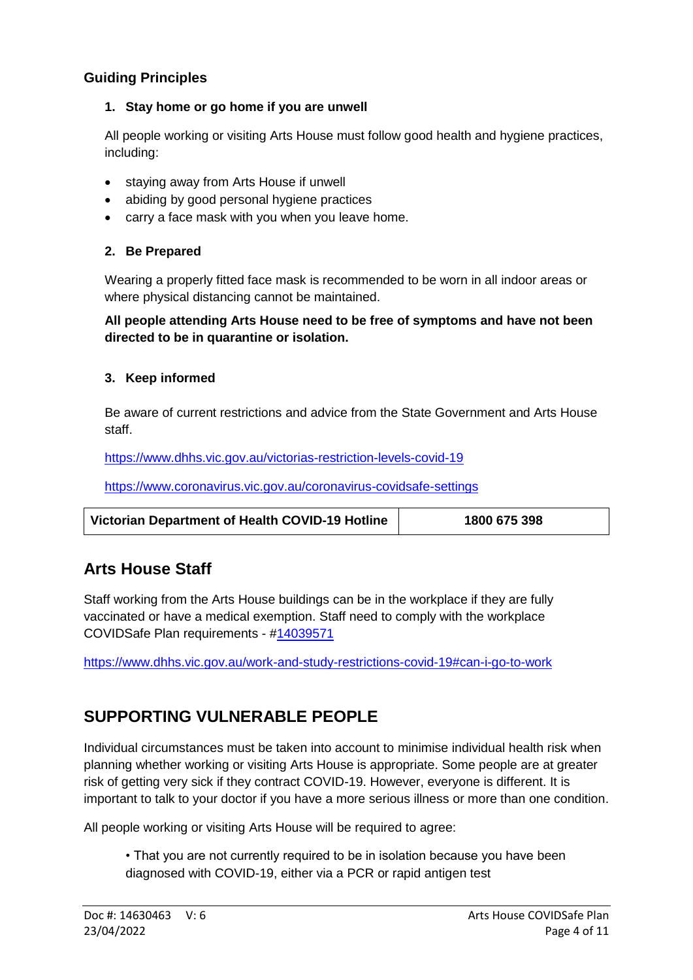### <span id="page-3-0"></span>**Guiding Principles**

#### **1. Stay home or go home if you are unwell**

All people working or visiting Arts House must follow good health and hygiene practices, including:

- staying away from Arts House if unwell
- abiding by good personal hygiene practices
- carry a face mask with you when you leave home.

#### **2. Be Prepared**

Wearing a properly fitted face mask is recommended to be worn in all indoor areas or where physical distancing cannot be maintained.

#### **All people attending Arts House need to be free of symptoms and have not been directed to be in quarantine or isolation.**

#### **3. Keep informed**

Be aware of current restrictions and advice from the State Government and Arts House staff.

<https://www.dhhs.vic.gov.au/victorias-restriction-levels-covid-19>

https://www.coronavirus.vic.gov.au/coronavirus-covidsafe-settings

| Victorian Department of Health COVID-19 Hotline | 1800 675 398 |
|-------------------------------------------------|--------------|
|                                                 |              |

# **Arts House Staff**

Staff working from the Arts House buildings can be in the workplace if they are fully vaccinated or have a medical exemption. Staff need to comply with the workplace COVIDSafe Plan requirements - [#14039571](pcdocs://COM_SERVICE_PROD/14039571/R)

<https://www.dhhs.vic.gov.au/work-and-study-restrictions-covid-19#can-i-go-to-work>

# <span id="page-3-1"></span>**SUPPORTING VULNERABLE PEOPLE**

Individual circumstances must be taken into account to minimise individual health risk when planning whether working or visiting Arts House is appropriate. Some people are at greater risk of getting very sick if they contract COVID-19. However, everyone is different. It is important to talk to your doctor if you have a more serious illness or more than one condition.

All people working or visiting Arts House will be required to agree:

• That you are not currently required to be in isolation because you have been diagnosed with COVID-19, either via a PCR or rapid antigen test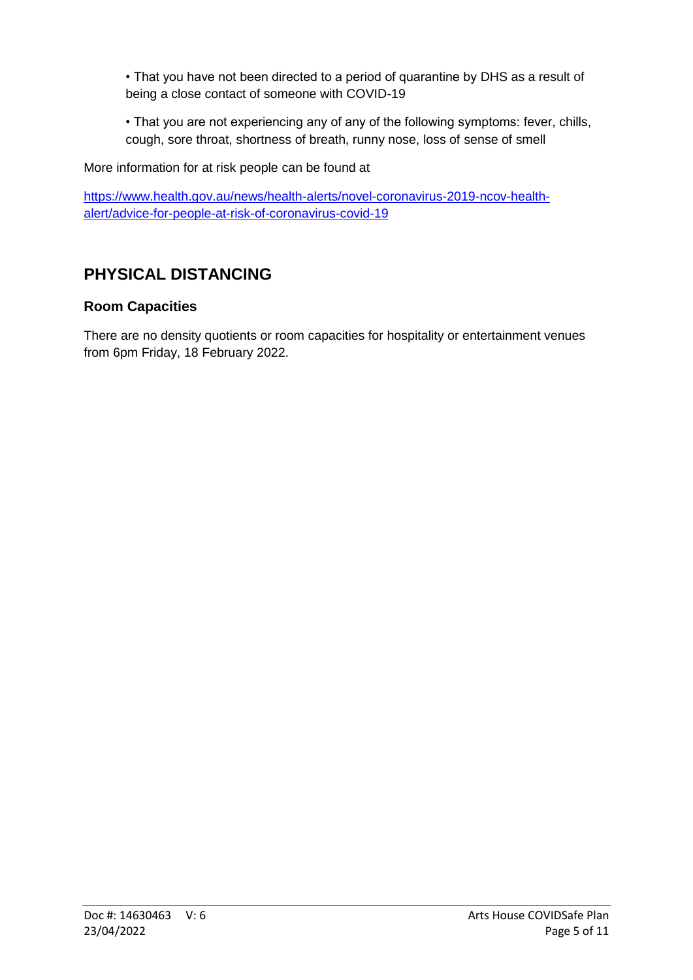• That you have not been directed to a period of quarantine by DHS as a result of being a close contact of someone with COVID-19

• That you are not experiencing any of any of the following symptoms: fever, chills, cough, sore throat, shortness of breath, runny nose, loss of sense of smell

More information for at risk people can be found at

[https://www.health.gov.au/news/health-alerts/novel-coronavirus-2019-ncov-health](https://www.health.gov.au/news/health-alerts/novel-coronavirus-2019-ncov-health-alert/advice-for-people-at-risk-of-coronavirus-covid-19)[alert/advice-for-people-at-risk-of-coronavirus-covid-19](https://www.health.gov.au/news/health-alerts/novel-coronavirus-2019-ncov-health-alert/advice-for-people-at-risk-of-coronavirus-covid-19)

# <span id="page-4-0"></span>**PHYSICAL DISTANCING**

### <span id="page-4-1"></span>**Room Capacities**

There are no density quotients or room capacities for hospitality or entertainment venues from 6pm Friday, 18 February 2022.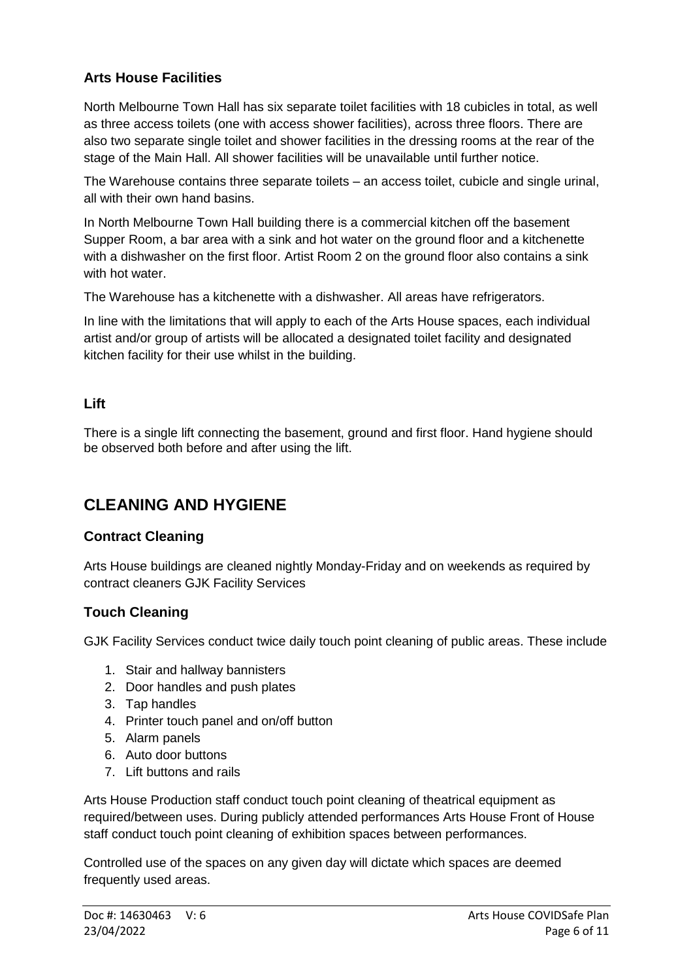### <span id="page-5-0"></span>**Arts House Facilities**

North Melbourne Town Hall has six separate toilet facilities with 18 cubicles in total, as well as three access toilets (one with access shower facilities), across three floors. There are also two separate single toilet and shower facilities in the dressing rooms at the rear of the stage of the Main Hall. All shower facilities will be unavailable until further notice.

The Warehouse contains three separate toilets – an access toilet, cubicle and single urinal, all with their own hand basins.

In North Melbourne Town Hall building there is a commercial kitchen off the basement Supper Room, a bar area with a sink and hot water on the ground floor and a kitchenette with a dishwasher on the first floor. Artist Room 2 on the ground floor also contains a sink with hot water.

The Warehouse has a kitchenette with a dishwasher. All areas have refrigerators.

In line with the limitations that will apply to each of the Arts House spaces, each individual artist and/or group of artists will be allocated a designated toilet facility and designated kitchen facility for their use whilst in the building.

#### <span id="page-5-1"></span>**Lift**

There is a single lift connecting the basement, ground and first floor. Hand hygiene should be observed both before and after using the lift.

# **CLEANING AND HYGIENE**

### <span id="page-5-2"></span>**Contract Cleaning**

Arts House buildings are cleaned nightly Monday-Friday and on weekends as required by contract cleaners GJK Facility Services

### <span id="page-5-3"></span>**Touch Cleaning**

GJK Facility Services conduct twice daily touch point cleaning of public areas. These include

- 1. Stair and hallway bannisters
- 2. Door handles and push plates
- 3. Tap handles
- 4. Printer touch panel and on/off button
- 5. Alarm panels
- 6. Auto door buttons
- 7. Lift buttons and rails

Arts House Production staff conduct touch point cleaning of theatrical equipment as required/between uses. During publicly attended performances Arts House Front of House staff conduct touch point cleaning of exhibition spaces between performances.

Controlled use of the spaces on any given day will dictate which spaces are deemed frequently used areas.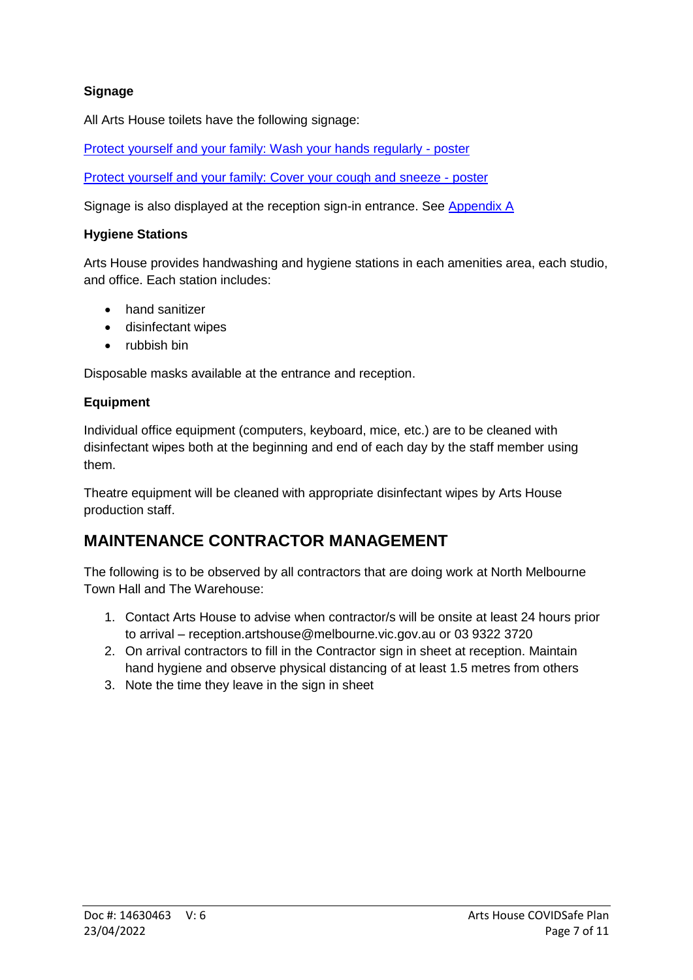### **Signage**

All Arts House toilets have the following signage:

[Protect yourself and your family: Wash your hands regularly -](https://www2.health.vic.gov.au/Api/downloadmedia/%7B315232D5-002E-400F-BEF3-AC457586851A%7D) poster

[Protect yourself and your family: Cover your cough and sneeze -](https://www2.health.vic.gov.au/Api/downloadmedia/%7B2D6408F0-991C-430E-8FB0-9AB4DBB6B891%7D) poster

Signage is also displayed at the reception sign-in entrance. See [Appendix A](#page-10-0)

#### **Hygiene Stations**

Arts House provides handwashing and hygiene stations in each amenities area, each studio, and office. Each station includes:

- hand sanitizer
- disinfectant wipes
- rubbish bin

Disposable masks available at the entrance and reception.

#### **Equipment**

Individual office equipment (computers, keyboard, mice, etc.) are to be cleaned with disinfectant wipes both at the beginning and end of each day by the staff member using them.

Theatre equipment will be cleaned with appropriate disinfectant wipes by Arts House production staff.

# <span id="page-6-0"></span>**MAINTENANCE CONTRACTOR MANAGEMENT**

The following is to be observed by all contractors that are doing work at North Melbourne Town Hall and The Warehouse:

- 1. Contact Arts House to advise when contractor/s will be onsite at least 24 hours prior to arrival – reception.artshouse@melbourne.vic.gov.au or 03 9322 3720
- 2. On arrival contractors to fill in the Contractor sign in sheet at reception. Maintain hand hygiene and observe physical distancing of at least 1.5 metres from others
- 3. Note the time they leave in the sign in sheet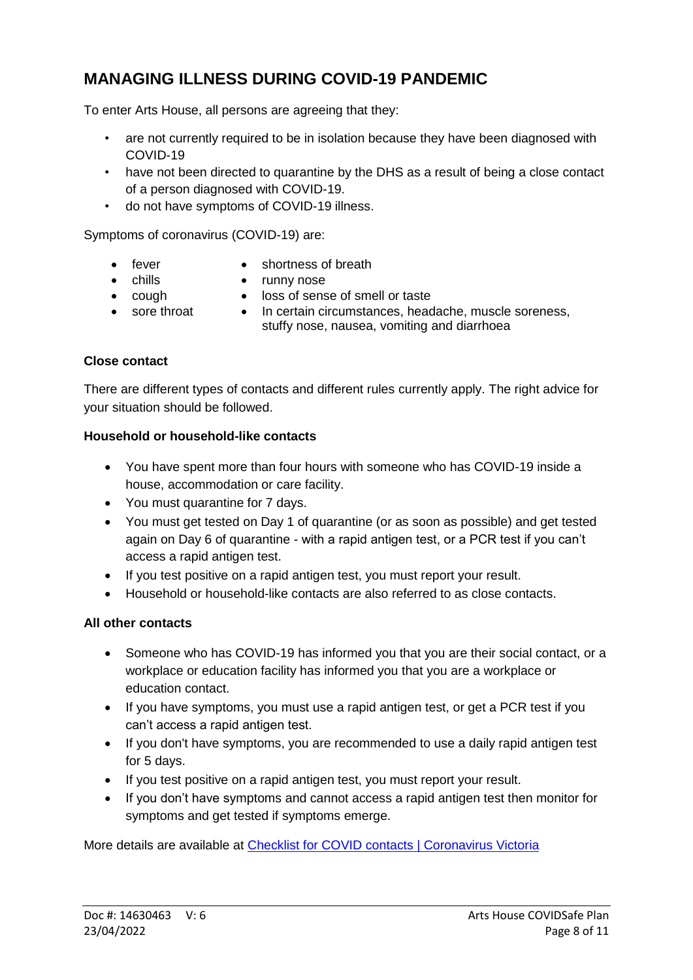# **MANAGING ILLNESS DURING COVID-19 PANDEMIC**

To enter Arts House, all persons are agreeing that they:

- are not currently required to be in isolation because they have been diagnosed with COVID-19
- have not been directed to quarantine by the DHS as a result of being a close contact of a person diagnosed with COVID-19.
- do not have symptoms of COVID-19 illness.

Symptoms of coronavirus (COVID-19) are:

- 
- fever shortness of breath
- 
- chills runny nose
- 
- cough loss of sense of smell or taste
- 
- sore throat In certain circumstances, headache, muscle soreness, stuffy nose, nausea, vomiting and diarrhoea

#### **Close contact**

There are different types of contacts and different rules currently apply. The right advice for your situation should be followed.

#### **Household or household-like contacts**

- You have spent more than four hours with someone who has COVID-19 inside a house, accommodation or care facility.
- You must quarantine for 7 days.
- You must get tested on Day 1 of quarantine (or as soon as possible) and get tested again on Day 6 of quarantine - with a rapid antigen test, or a PCR test if you can't access a rapid antigen test.
- If you test positive on a rapid antigen test, you must report your result.
- Household or household-like contacts are also referred to as close contacts.

#### **All other contacts**

- Someone who has COVID-19 has informed you that you are their social contact, or a workplace or education facility has informed you that you are a workplace or education contact.
- If you have symptoms, you must use a rapid antigen test, or get a PCR test if you can't access a rapid antigen test.
- If you don't have symptoms, you are recommended to use a daily rapid antigen test for 5 days.
- If you test positive on a rapid antigen test, you must report your result.
- If you don't have symptoms and cannot access a rapid antigen test then monitor for symptoms and get tested if symptoms emerge.

More details are available at [Checklist for COVID contacts | Coronavirus Victoria](https://www.coronavirus.vic.gov.au/checklist-contacts)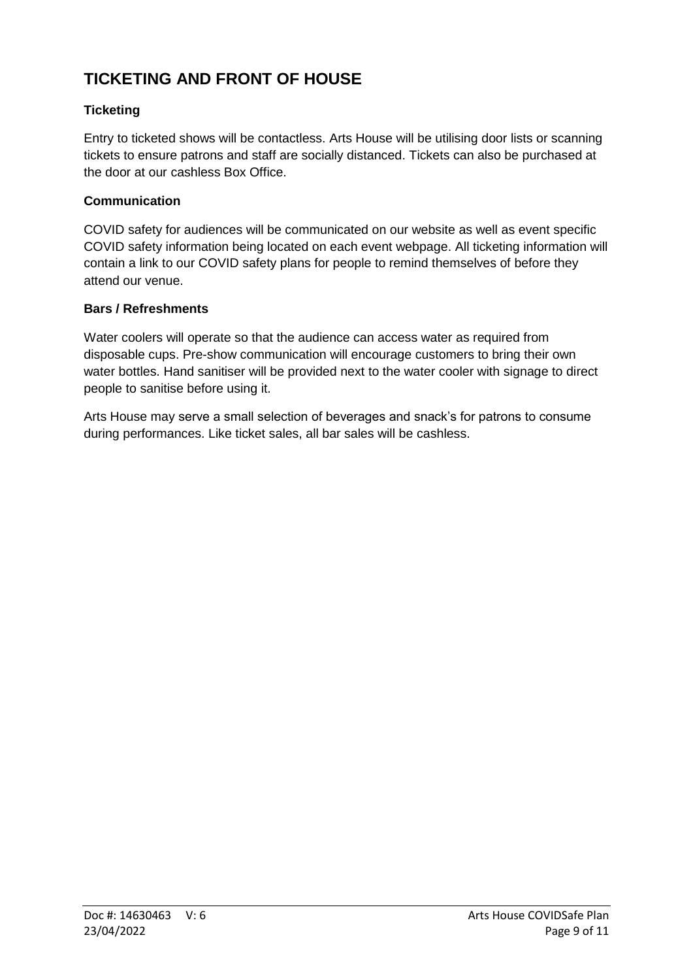# <span id="page-8-0"></span>**TICKETING AND FRONT OF HOUSE**

### **Ticketing**

Entry to ticketed shows will be contactless. Arts House will be utilising door lists or scanning tickets to ensure patrons and staff are socially distanced. Tickets can also be purchased at the door at our cashless Box Office.

#### **Communication**

COVID safety for audiences will be communicated on our website as well as event specific COVID safety information being located on each event webpage. All ticketing information will contain a link to our COVID safety plans for people to remind themselves of before they attend our venue.

#### **Bars / Refreshments**

Water coolers will operate so that the audience can access water as required from disposable cups. Pre-show communication will encourage customers to bring their own water bottles. Hand sanitiser will be provided next to the water cooler with signage to direct people to sanitise before using it.

<span id="page-8-1"></span>Arts House may serve a small selection of beverages and snack's for patrons to consume during performances. Like ticket sales, all bar sales will be cashless.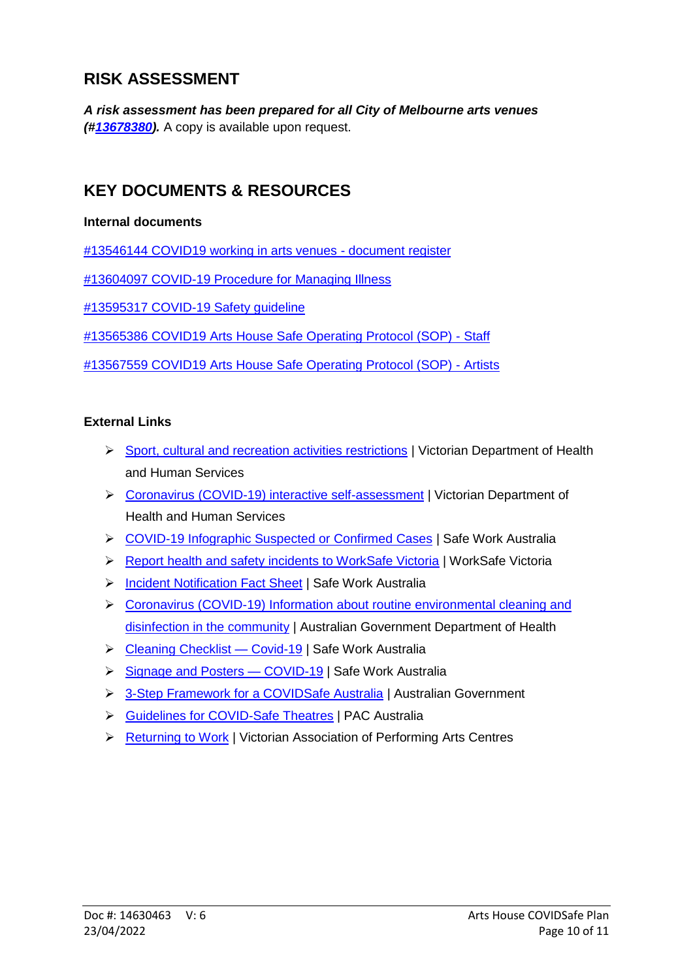# **RISK ASSESSMENT**

*A risk assessment has been prepared for all City of Melbourne arts venues ([#13678380\)](pcdocs://COM_SERVICE_PROD/13678380/R).* A copy is available upon request.

# <span id="page-9-0"></span>**KEY DOCUMENTS & RESOURCES**

#### **Internal documents**

[#13546144 COVID19 working in arts venues -](pcdocs://COM_SERVICE_PROD/13546144/R) document register

[#13604097 COVID-19 Procedure for Managing Illness](pcdocs://COM_SERVICE_PROD/13604097/R)

[#13595317 COVID-19 Safety guideline](pcdocs://COM_SERVICE_PROD/13595317/R)

[#13565386 COVID19 Arts House Safe Operating Protocol \(SOP\) -](pcdocs://COM_SERVICE_PROD/13565386/R) Staff

[#13567559 COVID19 Arts House Safe Operating Protocol \(SOP\) -](pcdocs://COM_SERVICE_PROD/13567559/R) Artists

#### **External Links**

- [Sport, cultural and recreation activities restrictions](https://www.dhhs.vic.gov.au/sport-cultural-and-recreational-activities-restrictions-coronavirus-covid19) | Victorian Department of Health and Human Services
- [Coronavirus \(COVID-19\) interactive self-assessment](https://www.dhhs.vic.gov.au/coronavirus-self-assessment) | Victorian Department of Health and Human Services
- [COVID-19 Infographic Suspected or Confirmed Cases](https://swa.govcms.gov.au/sites/default/files/2020-04/COVID-19-Infographic-Suspected-or-Confirmed-Cases-a3.pdf) | Safe Work Australia
- [Report health and safety incidents to WorkSafe Victoria](https://www.worksafe.vic.gov.au/report-incident) | WorkSafe Victoria
- [Incident Notification Fact Sheet](https://www.safeworkaustralia.gov.au/doc/incident-notification-fact-sheet) | Safe Work Australia
- [Coronavirus \(COVID-19\) Information about routine environmental cleaning and](https://www.health.gov.au/resources/publications/coronavirus-covid-19-information-about-routine-environmental-cleaning-and-disinfection-in-the-community) [disinfection in the community](https://www.health.gov.au/resources/publications/coronavirus-covid-19-information-about-routine-environmental-cleaning-and-disinfection-in-the-community) | Australian Government Department of Health
- > Cleaning Checklist Covid-19 | Safe Work Australia
- Signage and Posters COVID-19 | Safe Work Australia
- > [3-Step Framework for a COVIDSafe Australia](https://www.health.gov.au/resources/publications/3-step-framework-for-a-covidsafe-australia) | Australian Government
- [Guidelines for COVID-Safe Theatres](https://paca.org.au/covidsafetheatres/) | PAC Australia
- ▶ [Returning to Work](https://vapac.org.au/wp-content/uploads/2020/07/VAPAC-ACM-TOGETHER-WITH-YOU-RTW-V1.3.pdf) | Victorian Association of Performing Arts Centres